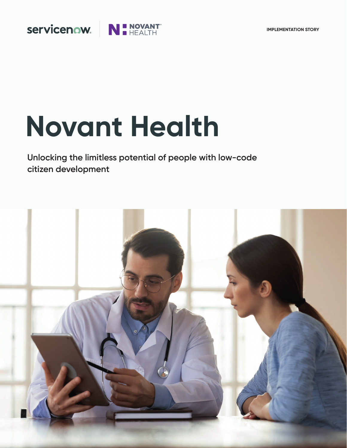# servicenow.

# N **B** NOVANT

# **Novant Health**

**Unlocking the limitless potential of people with low-code citizen development**

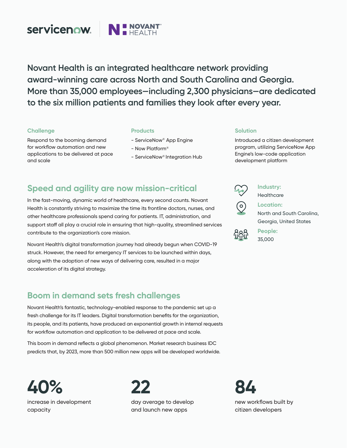

**Novant Health is an integrated healthcare network providing award-winning care across North and South Carolina and Georgia. More than 35,000 employees—including 2,300 physicians—are dedicated to the six million patients and families they look after every year.**

#### **Challenge**

Respond to the booming demand for workflow automation and new applications to be delivered at pace and scale

#### **Products**

- ServiceNow® App Engine
- Now Platform®
- ServiceNow® Integration Hub

#### **Solution**

Introduced a citizen development program, utilizing ServiceNow App Engine's low-code application development platform

## **Speed and agility are now mission-critical**

In the fast-moving, dynamic world of healthcare, every second counts. Novant Health is constantly striving to maximize the time its frontline doctors, nurses, and other healthcare professionals spend caring for patients. IT, administration, and support staff all play a crucial role in ensuring that high-quality, streamlined services contribute to the organization's core mission.

Novant Health's digital transformation journey had already begun when COVID-19 struck. However, the need for emergency IT services to be launched within days, along with the adoption of new ways of delivering care, resulted in a major acceleration of its digital strategy.

## **Boom in demand sets fresh challenges**

Novant Health's fantastic, technology-enabled response to the pandemic set up a fresh challenge for its IT leaders. Digital transformation benefits for the organization, its people, and its patients, have produced an exponential growth in internal requests for workflow automation and application to be delivered at pace and scale.

This boom in demand reflects a global phenomenon. Market research business IDC predicts that, by 2023, more than 500 million new apps will be developed worldwide.

**40%**  increase in development capacity

**22** day average to develop and launch new apps



**Industry: Healthcare** 



**Location:**  North and South Carolina, Georgia, United States



**People:**  35,000

**84**  new workflows built by citizen developers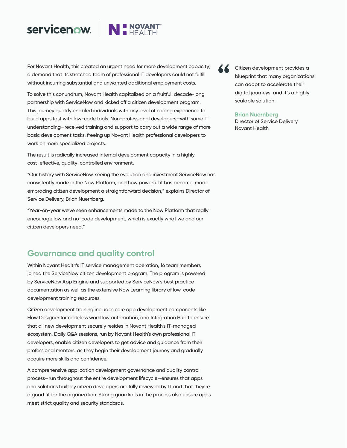## servicenow.



For Novant Health, this created an urgent need for more development capacity; a demand that its stretched team of professional IT developers could not fulfill without incurring substantial and unwanted additional employment costs.

To solve this conundrum, Novant Health capitalized on a fruitful, decade-long partnership with ServiceNow and kicked off a citizen development program. This journey quickly enabled individuals with any level of coding experience to build apps fast with low-code tools. Non-professional developers—with some IT understanding—received training and support to carry out a wide range of more basic development tasks, freeing up Novant Health professional developers to work on more specialized projects.

The result is radically increased internal development capacity in a highly cost-effective, quality-controlled environment.

"Our history with ServiceNow, seeing the evolution and investment ServiceNow has consistently made in the Now Platform, and how powerful it has become, made embracing citizen development a straightforward decision," explains Director of Service Delivery, Brian Nuernberg.

"Year-on-year we've seen enhancements made to the Now Platform that really encourage low and no-code development, which is exactly what we and our citizen developers need."

## **Governance and quality control**

Within Novant Health's IT service management operation, 16 team members joined the ServiceNow citizen development program. The program is powered by ServiceNow App Engine and supported by ServiceNow's best practice documentation as well as the extensive Now Learning library of low-code development training resources.

Citizen development training includes core app development components like Flow Designer for codeless workflow automation, and Integration Hub to ensure that all new development securely resides in Novant Health's IT-managed ecosystem. Daily Q&A sessions, run by Novant Health's own professional IT developers, enable citizen developers to get advice and guidance from their professional mentors, as they begin their development journey and gradually acquire more skills and confidence.

A comprehensive application development governance and quality control process—run throughout the entire development lifecycle—ensures that apps and solutions built by citizen developers are fully reviewed by IT and that they're a good fit for the organization. Strong guardrails in the process also ensure apps meet strict quality and security standards.



Citizen development provides a blueprint that many organizations can adopt to accelerate their digital journeys, and it's a highly scalable solution.

#### **Brian Nuernberg**

Director of Service Delivery Novant Health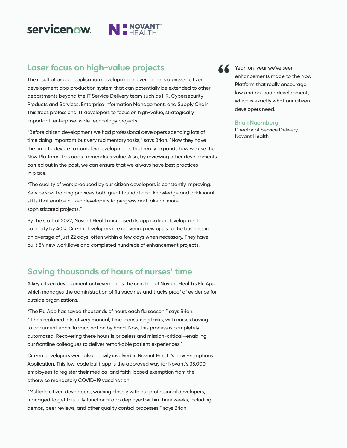# **Servicenow.** NINOVANT

# **Laser focus on high-value projects**

The result of proper application development governance is a proven citizen development app production system that can potentially be extended to other departments beyond the IT Service Delivery team such as HR, Cybersecurity Products and Services, Enterprise Information Management, and Supply Chain. This frees professional IT developers to focus on high-value, strategically important, enterprise-wide technology projects.

"Before citizen development we had professional developers spending lots of time doing important but very rudimentary tasks," says Brian. "Now they have the time to devote to complex developments that really expands how we use the Now Platform. This adds tremendous value. Also, by reviewing other developments carried out in the past, we can ensure that we always have best practices in place.

"The quality of work produced by our citizen developers is constantly improving. ServiceNow training provides both great foundational knowledge and additional skills that enable citizen developers to progress and take on more sophisticated projects."

By the start of 2022, Novant Health increased its application development capacity by 40%. Citizen developers are delivering new apps to the business in an average of just 22 days, often within a few days when necessary. They have built 84 new workflows and completed hundreds of enhancement projects.

## **Saving thousands of hours of nurses' time**

A key citizen development achievement is the creation of Novant Health's Flu App, which manages the administration of flu vaccines and tracks proof of evidence for outside organizations.

"The Flu App has saved thousands of hours each flu season," says Brian. "It has replaced lots of very manual, time-consuming tasks, with nurses having to document each flu vaccination by hand. Now, this process is completely automated. Recovering these hours is priceless and mission-critical—enabling our frontline colleagues to deliver remarkable patient experiences."

Citizen developers were also heavily involved in Novant Health's new Exemptions Application. This low-code built app is the approved way for Novant's 35,000 employees to register their medical and faith-based exemption from the otherwise mandatory COVID-19 vaccination.

"Multiple citizen developers, working closely with our professional developers, managed to get this fully functional app deployed within three weeks, including demos, peer reviews, and other quality control processes," says Brian.



Year-on-year we've seen enhancements made to the Now Platform that really encourage low and no-code development, which is exactly what our citizen developers need.

#### **Brian Nuernberg**

Director of Service Delivery Novant Health